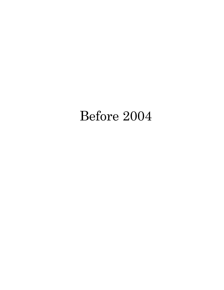# Before 2004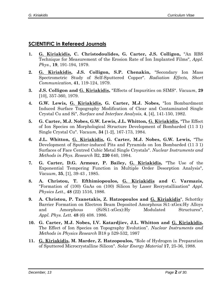#### **SCIENTIFIC in Refereed Journals**

- **1. G. Kiriakidis, C. Christodoulides, G. Carter, J.S. Colligon,** "An RBS Technique for Measurement of the Erosion Rate of Ion Implanted Films", *Appl. Phys.*, **19**, 191-194, 1979.
- **2. G. Kiriakidis, J.S. Colligon, S.P. Chenakin,** "Secondary Ion Mass Spectrometric Study of Self-Sputtered Copper". *Radiation Effects, Short Communication*, **41**, 119-124, 1979.
- **3. J.S. Colligon and G. Kiriakidis,** "Effects of Impurities on SIMS". *Vacuum*, **29** [10], 357-360, 1979.
- **4. G.W. Lewis, G. Kiriakidis, G. Carter, M.J. Nobes,** "Ion Bombardment Induced Surface Topography Modification of Clear and Contaminated Single Crystal Cu and Si", *Surface and Interface Analysis*, **4**, [4], 141-150, 1982.
- **5. G. Carter, M.J. Nobes, G.W. Lewis, J.L. Whitton, G. Kiriakidis,** "The Effect of Ion Species on Morphological Structure Development of Bombarded (11 3 1) Single Crystal Cu". *Vacuum*, **34** [1-2], 167-173, 1984.
- **6. J.L. Whitton, G. Kiriakidis, G. Carter, M.J. Nobes, G.W. Lewis,** "The Development of Sputter-induced Pits and Pyramids on Ion Bombarded (11 3 1) Surfaces of Face Centred Cubic Metal Single Crystals". *Nuclear Instruments and Methods in Phys. Research* B2, **230** 640, 1984.
- **7. G. Carter, D.G. Armour, P. Bailey, G. Kiriakidis,** "The Use of the Exponential Tempering Function in Multiple Order Desorption Analysis", *Vacuum*, **35**, [1], 39-43 , 1985.
- **8. A. Christou, T. Efthimiopoulos, G. Kiriakidis and C. Varmazis,**  "Formation of (100) GaAs on (100) Silicon by Laser Recrystallization" *Appl. Physics Lett.,* **48** (22) 1516, 1986.
- **9. A. Christou, P. Tzanetakis, Z. Hatzopoulos and G. Kiriakidis**", Schottky Barrier Formation on Electron Beam Deposited Amorphous Si1-xGex:Hy Alloys and Amorphous (Si/Si1-xGex):Hy Modulated Structures", *Appl. Phys. Lett.* **48** (6) 408. 1986.
- **10. G. Carter, M.J. Nobes, I.V. Katardjiev, J.L. Whitton and G. Kiriakidis,**  The Effect of Ion Species on Topography Evolution". *Nuclear Instruments and Methods in Physics Research* B18 p 529-532, 1987
- **11. G. Kiriakidis, M. Marder, Z. Hatzopoulos,** "Role of Hydrogen in Preparation of Sputtered Microcrystalline Silicon". *Solar Energy Material* **17**, 25-36, 1988.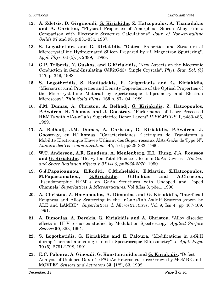- **12. A. Zdetsis, D. Girginoudi, G. Kiriakidis, Z. Hatzopoulos, A. Thanailakis and A. Christou,** "Physical Properties of Amorphous Silicon Alloy Films: Comparison with Electronic Structure Calculations*". Jour. of Non-crystalline Solids* 97 and 98, p.831-834, 1987.
- **13. S. Logothetides and G. Kiriakidis,** "Optical Properties and Structure of Microcrystalline Hydrogenated Silicon Prepared by r.f. Magnetron Sputtering". *Appl. Phys.* **64** (5), p. 2389, , 1988.
- **14. G.P. Triberis, N. Guskos, and G.Kiriakidis,** "New Aspects on the Electronic Conduction in Semi-Insulating CdF2:Gd3+ Single Crystals". *Phys. Stat. Sol. (b)* **147**, p. 349, 1988.
- **15. S. Logothetidis, S. Boultadakis, P. Grigoriadis and G. Kiriakidis,**  "Microstructural Properties and Density Dependence of the Optical Properties of the Microcrystalline Material by Spectroscopic Ellipsometry and Electron Microscopy". *Thin Solid Films*, **169** p. 87-104, 1989.
- **16. J.M. Dumas, A. Christou, A. Belhadj, G. Kiriakidis, Z. Hatzopoulos, P.Awdren, H. Thomas and J. Goostray,** "Performance of Laser Processed HEMTs with AlAs-nGaAs Superlattice Donor Layers" *IEEE MTT-S*, **I**, p483-486, 1989.
- **17. A. Belhadj, J.M. Dumas, A. Christou, G. Kiriakidis, P.Awdren, J. Goostray, et H.Thomas,** "Caracteristiques Electriques de Transistors a Mobilite Electronique Elevee Utlisant des Super-reseaux AlAs-GaAs de Type N", *Annales des Telecommunications*, **45**, 5-6, pp329-333, 1990.
- **18. W.T. Anderson, A.R. Knudson, A. Menlenberg, H.L. Hung, J.A. Roussos and G. Kiriakidis,** "Heavy Ion Total Fluence Effects in GaAs Devices" *Nuclear and Space Radiation Effects V 37,Iss 6, pp2065-2070*. 1990
- **19. G.J.Papaioannou, E.Roditi, C.Michelakis, E.Martin, Z.Hatzopoulos, M.Papastamatiou, G.Kiriakidis, G.Halkias and A.Christou,**  "Pseudomorphic HEMTs on GaAs Structures with Undoped and Doped Channels*" Superlattices & Microstructures*, Vol **8**,Iss 3, p341, 1990.
- **20. A. Christou, Z. Hatzopoulos, A. Dimoulas and G. Kiriakidis,** "Interfacial Rougness and Alloy Scattering in the InGaAs/InAlAs/InP Systems grown by ALE and LAMBE" *Superlattices & Microstructures*, Vol 9, Iss 4, pp 467-469, 1991.
- **21. A. Dimoulas, A. Derekis, G. Kiriakidis and A. Christou.** "Alloy disorder effects in III-V ternaries studied by Modulation Spectroscopy" *Applied Surface Science* **50**, 353, 1991.
- **22. S. Logothetidis, G. Kiriakidis and E. Paloura.** "Modifications in a-Si:H during Thermal annealing : In-situ Spectroscopic Ellipsometry" *J. Appl. Phys*. **70** (5), 2791-2798, 1991.
- **23. E.C. Paloura, A. Ginoudi, G. Konstantinidis and G. Kiriakidis,** "Defect Analysis of Undoped GaxIn1-xP/GaAs Heterostructures Grown by MOMBE and MOVPE*", Sensors and Actuators* **33**, [1/2], 63, 1992.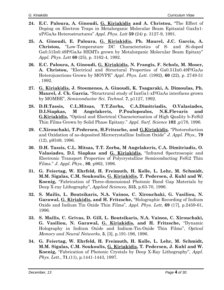- **24. E.C. Paloura, A. Ginoudi, G. Kiriakidis and A. Christou,** "The Effect of Doping on Electron Traps in Metalorganic Molecular Beam Epitaxial GaxIn1 xP/GaAs Heterostructures" *Appl. Phys. Lett* **59** (24) p. 3127-9, 1991.
- **25. A. Ginoudi, E. Paloura, G. Kiriakidis, Ph. Maurel, J.C. Garcia, A. Christou,** "Low-Temperature DC Characteristics of S- and Si-doped Ga0.51In0.49P/GaAs HEMTs grown by Metalorganic Molecular Beam Epitaxy" *Appl. Phys. Lett* **60** (25), p. 3162-4, 1992.
- **26. E.C. Paloura, A. Ginoudi, G. Kiriakidis, N. Frangis, F. Scholz, M. Moser, A. Christou,** "Electrical and Structural Properties of Ga0.51In0.49P/GaAs Heterojunctions Grown by MOVPE" *Appl. Phys. Lett*. (1992), **60** (22), p. 2749-51 , 1992.
- **27. G. Kiriakidis, J. Stoemenos, A. Ginoudi, K. Tsagaraki, A. Dimoulas, Ph. Maurel, J. Ch. Garcia.** "Structrural study of InxGa1-xP/GaAs interfaces grown by MOMBE", *Semiconductor Sci. Technol*. **7**, p1127, 1992.
- **28. D.H.Tassis, C.L.Mitsas, T.T.Zorba, C.A.Dimitriadis, O.Valasiades, D.I.Siapkas, M Angelakeris, P.Poulopoulos, N.K.Flevaris and G.Kiriakidis,** "Optical and Electrical Characterisation of High Quality b-FeSi2 Thin Films Grown by Solid Phase Epitaxy." *Appl. Surf. Science* **102** ,p178, 1996.
- **29. C.Xirouchaki, T.Pedersen, H.Fritzsche, and G.Kiriakidis.** "Photoreduction and Oxidation of as-deposited Microcrystalline Indium Oxide" *J. Appl. Phys.*, **79** (12), p9349, 1996.
- **30. D.H. Tassis, C.L. Mitsas, T.T. Zorba, M Angelakeris, C.A. Dimitriadis, O. Valasiades, D.I. Siapkas and G. Kiriakidis,** "Infrared Spectroscopic and Electronic Transport Properties of Polycrystalline Semiconducting FeSi2 Thin Films." *J. Appl. Phys.*, **80**, p962, 1996.
- **31. G. Feiertag, W. Ehrfeld, H. Freimuth, H. Kolle, L. Lehr, M. Schmidt, M.M. Sigalas, C.M. Soukoulis, G. Kiriakidis, T. Pedersen, J. Kuhl and W. Koenig,** "Fabrication of Three-dimensional Photonic Band Gap Materials by Deep X-ray Lithography", *Applied Sciences*, **315**, p.63-70, 1996.
- **32. S. Mailis, L. Boutsikaris, N.A. Vainos, C. Xirouchaki, G. Vasiliou, N. Garawal, G. Kiriakidis, and H. Fritzsche,** "Holographic Recording of Indium Oxide and Indium Tin Oxide Thin Films", *Appl. Phys. Lett*, **69** (17], p.2459-61, 1996.
- **33. S. Mailis, C. Grivas, D. Gill, L. Boutsikaris, N.A. Vainos, C. Xirouchaki, G. Vasiliou, N. Garawal, G. Kiriakidis, and H. Fritzsche,** "Dynamic Holography in Indium Oxide and Indium-Tin-Oxide Thin Films", *Optical Memory and Neural Networks*, **5**, [3], p.191-196, 1996.
- **34. G. Feiertag, W. Ehrfeld, H. Freimuth, H. Kolle, L. Lehr, M. Schmidt, M.M. Sigalas, C.M. Soukoulis, G. Kiriakidis, T. Pedersen, J. Kuhl and W. Koenig,** "Fabrication of Photonic Crystals by Deep X-Ray Lithography", *Appl. Phys. Lett*., **71**.(11), p.1441-1443, 1997.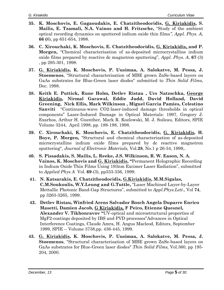- **35. K. Moschovis, E. Gagaoudakis, E. Chatzitheodoridis, G. Kiriakidis, S. Mailis, E. Tzamali, N.A. Vainos and H. Fritzsche,** "Study of the ambient optical recording dynamics on sputtered indium oxide thin films*", Appl. Phys. A*, **66 (**6), pp 651-654, 1998.
- **36. C. Xirouchaki, K. Moschovis, E. Chatzitheodoridis, G. Kiriakidis, and P. Morgen,** "Chemical characterisation of as-deposited microcrystalline indium oxide films prepared by reactive dc magnetron sputtering", *Appl. Phys. A*, **67**-(3) , pp 295-301, 1998.
- **37. G. Kiriakidis, K. Moschovis, P. Uusimaa, A. Salokatve, M. Pessa, J. Stoemenos**, "Structural characterisation of MBE grown ZnSe-based layers on GaAs substrates for Blue-Green laser diodes" submitted to *Thin Solid Films,* Dec. 1998.
- **38. [Keith E. Puttick,](http://spiedl.aip.org/vsearch/servlet/VerityServlet?KEY=SPIEDL&possible1=Puttick%2C+Keith+E.&possible1zone=author&maxdisp=25&smode=strresults&aqs=true) [Rune Holm,](http://spiedl.aip.org/vsearch/servlet/VerityServlet?KEY=SPIEDL&possible1=Holm%2C+Rune&possible1zone=author&maxdisp=25&smode=strresults&aqs=true) [Detlev Ristau](http://spiedl.aip.org/vsearch/servlet/VerityServlet?KEY=SPIEDL&possible1=Ristau%2C+Detlev&possible1zone=author&maxdisp=25&smode=strresults&aqs=true) , [Urs Natzschka,](http://spiedl.aip.org/vsearch/servlet/VerityServlet?KEY=SPIEDL&possible1=Natzschka%2C+Urs&possible1zone=author&maxdisp=25&smode=strresults&aqs=true) [George](http://spiedl.aip.org/vsearch/servlet/VerityServlet?KEY=SPIEDL&possible1=Kiriakidis%2C+George&possible1zone=author&maxdisp=25&smode=strresults&aqs=true)  [Kiriakidis,](http://spiedl.aip.org/vsearch/servlet/VerityServlet?KEY=SPIEDL&possible1=Kiriakidis%2C+George&possible1zone=author&maxdisp=25&smode=strresults&aqs=true) [Nirmal Garawal,](http://spiedl.aip.org/vsearch/servlet/VerityServlet?KEY=SPIEDL&possible1=Garawal%2C+Nirmal&possible1zone=author&maxdisp=25&smode=strresults&aqs=true) [Eddie Judd,](http://spiedl.aip.org/vsearch/servlet/VerityServlet?KEY=SPIEDL&possible1=Judd%2C+Eddie&possible1zone=author&maxdisp=25&smode=strresults&aqs=true) [David Holland,](http://spiedl.aip.org/vsearch/servlet/VerityServlet?KEY=SPIEDL&possible1=Holland%2C+David&possible1zone=author&maxdisp=25&smode=strresults&aqs=true) [David](http://spiedl.aip.org/vsearch/servlet/VerityServlet?KEY=SPIEDL&possible1=Greening%2C+David&possible1zone=author&maxdisp=25&smode=strresults&aqs=true)  [Greening,](http://spiedl.aip.org/vsearch/servlet/VerityServlet?KEY=SPIEDL&possible1=Greening%2C+David&possible1zone=author&maxdisp=25&smode=strresults&aqs=true) [Nick Ellis,](http://spiedl.aip.org/vsearch/servlet/VerityServlet?KEY=SPIEDL&possible1=Ellis%2C+Nick&possible1zone=author&maxdisp=25&smode=strresults&aqs=true) [Mark Wilkinson](http://spiedl.aip.org/vsearch/servlet/VerityServlet?KEY=SPIEDL&possible1=Wilkinson%2C+Mark&possible1zone=author&maxdisp=25&smode=strresults&aqs=true) , [Miguel Garcia Pamies,](http://spiedl.aip.org/vsearch/servlet/VerityServlet?KEY=SPIEDL&possible1=Pamies%2C+Miguel+Garcia&possible1zone=author&maxdisp=25&smode=strresults&aqs=true) [Celestino](http://spiedl.aip.org/vsearch/servlet/VerityServlet?KEY=SPIEDL&possible1=Sanviti%2C+Celestino&possible1zone=author&maxdisp=25&smode=strresults&aqs=true)  [Sanviti](http://spiedl.aip.org/vsearch/servlet/VerityServlet?KEY=SPIEDL&possible1=Sanviti%2C+Celestino&possible1zone=author&maxdisp=25&smode=strresults&aqs=true)** "Continuous-wave CO2-laser-induced damage thresholds in optical components" Laser-Induced Damage in Optical Materials: 1997, Gregory J. Exarhos, Arthur H. Guenther, Mark R. Kozlowski, M. J. Soileau, Editors, SPIE Volume 3244, April 1998, pp. 188-198, 1998.
- **39. C. Xirouchaki, K. Moschovis, E. Chatzitheodoridis, G. Kiriakidis, H. Boye, P. Morgen,** "Structural and chemical characterization of as-deposited microcrystalline indium oxide films prepared by dc reactive magnetron sputtering", *Journal of Electronic Materials,* Vol.**28**, No.1 p 26-34, 1999,.
- **40. S. Pissadakis, S. Mailis, L. Reeke, J.S. Wilkinson, R. W. Eason, N. A. Vainos, K. Moschovis and G. Kiriakidis, "**Permanent Holographic Recording in Indium Oxide Thin Films Using 193nm Excimer Laser Radiation", submitted to *Applied Phys A* Vol. **69**-(3), pp333-336, 1999.
- **41. N. Katsarakis, E. Chatzitheodoridis, G.Kiriakidis, M.M.Sigalas, C.M.Soukoulis, W.Y.Leung and G.Tuttle,** "Laser Machined Layer-by-Layer Mettallic Photonic Band-Gap Structures", submitted to *Appl.Phys.Lett*., Vol **74**, pp 3263-3265, 1999.
- **42. [Detlev Ristau,](http://spiedl.aip.org/vsearch/servlet/VerityServlet?KEY=SPIEDL&possible1=Ristau%2C+Detlev&possible1zone=author&maxdisp=25&smode=strresults&aqs=true) [Winfried Arens](http://spiedl.aip.org/vsearch/servlet/VerityServlet?KEY=SPIEDL&possible1=Arens%2C+Winfried&possible1zone=author&maxdisp=25&smode=strresults&aqs=true) [Salvador Bosch](http://spiedl.aip.org/vsearch/servlet/VerityServlet?KEY=SPIEDL&possible1=Bosch%2C+Salvador&possible1zone=author&maxdisp=25&smode=strresults&aqs=true) [Angela Duparre](http://spiedl.aip.org/vsearch/servlet/VerityServlet?KEY=SPIEDL&possible1=Duparre%2C+Angela&possible1zone=author&maxdisp=25&smode=strresults&aqs=true) [Enrico](http://spiedl.aip.org/vsearch/servlet/VerityServlet?KEY=SPIEDL&possible1=Masetti%2C+Enrico&possible1zone=author&maxdisp=25&smode=strresults&aqs=true)  [Masetti,](http://spiedl.aip.org/vsearch/servlet/VerityServlet?KEY=SPIEDL&possible1=Masetti%2C+Enrico&possible1zone=author&maxdisp=25&smode=strresults&aqs=true) [Damien Jacob,](http://spiedl.aip.org/vsearch/servlet/VerityServlet?KEY=SPIEDL&possible1=Jacob%2C+Damien&possible1zone=author&maxdisp=25&smode=strresults&aqs=true) G Kiriakidis, F Peiro, [Etienne Quesnel,](http://spiedl.aip.org/vsearch/servlet/VerityServlet?KEY=SPIEDL&possible1=Quesnel%2C+Etienne&possible1zone=author&maxdisp=25&smode=strresults&aqs=true) [Alexander V. Tikhonravov](http://spiedl.aip.org/vsearch/servlet/VerityServlet?KEY=SPIEDL&possible1=Tikhonravov%2C+Alexander+V.&possible1zone=author&maxdisp=25&smode=strresults&aqs=true) "**UV-optical and microstructural properties of MgF2-coatings deposited by IBS and PVD processes"Advances in Optical Interference Coatings, Claude Amra, H. Angus Macleod, Editors, September 1999, SPIE -- Volume 3738,pp. 436-445, 1999.
- **43. G. Kiriakidis, K. Moschovis, P. Uusimaa, A. Salokatve, M. Pessa, J. Stoemenos**, "Structural characterisation of MBE grown ZnSe-based layers on GaAs substrates for Blue-Green laser diodes" *Thin Solid Films,* Vol*.*360, pp 195- 204, 2000.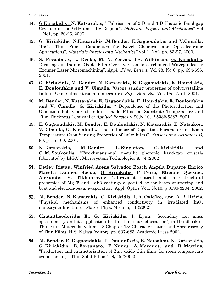- **44. G.Kiriakidis , N. Katsarakis,** " Fabrication of 2-D and 3-D Photonic Band-gap Crystals in the GHz and THz Regions". *Materials Physics and Mechanics"* Vol 1,No1, pp. 20-26, 2000.
- **45. G. Kiriakidis, N.Katsarakis ,M.Bender, E.Gagaoudakis and V.Cimalla,**  "InOx Thin Films, Candidates for Novel Chemical and Optoelectronic Applications", *Materials Physics and Mechanics"* Vol 1 No2, pp. 83-97, 2000.
- **46. S. Pissadakis, L. Reeke, M. N. Zervas, J.S. Wilkinson, G. Kiriakidis,**  "Gratings in Indium Oxide Film Overlayers on Ion-exchanged Waveguides by Excimer Laser Micromachining", *Appl. .Phys. Letters,* Vol 78, No 6, pp. 694-696, 2001.
- **47. G. Kiriakidis, M. Bender, N. Katsarakis, E. Gagaoudakis, E. Hourdakis, E. Douloufakis and V. Cimalla.** "Ozone sensing properties of polycrystalline Indium Oxide films at room temperature" *Phys. Stat. Sol.* Vol. 185, No 1, 2001.
- **48. M. Bender, N. Katsarakis, E. Gagaoudakis, E. Hourdakis, E. Douloufakis and V. Cimalla, G. Kiriakidis.** " Dependence of the Photoreduction and Oxidation Behaviour of Indium Oxide Films on Substrate Temperature and Film Thickness ".Journal of *Applied Physics* V 90,N 10, P 5382-5387, 2001.
- **49. E. Gagaoudakis, M. Bender, E. Douloufakis, N. Katsarakis, E. Natsakou, V. Cimalla, G. Kiriakidis.** "The Influence of Deposition Parameters on Room Temperature Ozon Sensing Properties of InOx Films". *Sensors and Actuators B,*  80, p155-160, 2001*.*
- **50. N. Katsarakis, M. Bender, L. Singleton, G. Kiriakidis, and C. M. Soukoulis**, "Two-dimensional metallic photonic band-gap crystals fabricated by LIGA", Microsystem Technologies **8**, 74 (2002).
- 51. **[Detlev Ristau,](http://spiedl.aip.org/vsearch/servlet/VerityServlet?KEY=SPIEDL&possible1=Ristau%2C+Detlev&possible1zone=author&maxdisp=25&smode=strresults&aqs=true) [Winfried Arens](http://spiedl.aip.org/vsearch/servlet/VerityServlet?KEY=SPIEDL&possible1=Arens%2C+Winfried&possible1zone=author&maxdisp=25&smode=strresults&aqs=true) [Salvador Bosch](http://spiedl.aip.org/vsearch/servlet/VerityServlet?KEY=SPIEDL&possible1=Bosch%2C+Salvador&possible1zone=author&maxdisp=25&smode=strresults&aqs=true) [Angela Duparre](http://spiedl.aip.org/vsearch/servlet/VerityServlet?KEY=SPIEDL&possible1=Duparre%2C+Angela&possible1zone=author&maxdisp=25&smode=strresults&aqs=true) [Enrico](http://spiedl.aip.org/vsearch/servlet/VerityServlet?KEY=SPIEDL&possible1=Masetti%2C+Enrico&possible1zone=author&maxdisp=25&smode=strresults&aqs=true)  [Masetti](http://spiedl.aip.org/vsearch/servlet/VerityServlet?KEY=SPIEDL&possible1=Masetti%2C+Enrico&possible1zone=author&maxdisp=25&smode=strresults&aqs=true) [Damien Jacob,](http://spiedl.aip.org/vsearch/servlet/VerityServlet?KEY=SPIEDL&possible1=Jacob%2C+Damien&possible1zone=author&maxdisp=25&smode=strresults&aqs=true) G Kiriakidis, F Peiro, [Etienne Quesnel,](http://spiedl.aip.org/vsearch/servlet/VerityServlet?KEY=SPIEDL&possible1=Quesnel%2C+Etienne&possible1zone=author&maxdisp=25&smode=strresults&aqs=true) [Alexander V. Tikhonravov](http://spiedl.aip.org/vsearch/servlet/VerityServlet?KEY=SPIEDL&possible1=Tikhonravov%2C+Alexander+V.&possible1zone=author&maxdisp=25&smode=strresults&aqs=true) "**Ultraviolet optical and microstructural properties of MgF2 and LaF3 coatings deposited by ion-beam sputtering and boat and electron-beam evaporation" Appl. Optics V41, No16, p 3196-3204, 2002.
- 52. **M. Bender, N. Katsarakis, G. Kiriakidis, I. A. Ovid'ko, and A. B. Reizis,** "Physical mechanisms of enhanced conductivity in irradiated  $InO_x$ nanocrystalline films", Mater. Phys. Mech. **5**, 11 (2002).
- 53. **Chatzitheodoridis E., G. Kiriakidis, I. Lyon,** "Secondary ion mass spectrometry and its application to thin film characterisation", in Handbook of Thin Film Materials, volume 2: Chapter 13: Characterisation and Spectroscopy of Thin Films, H.S. Nalwa (editor), pp. 637-683. Academic Press 2002.
- 54. **M. Bender, E. Gagaoudakis, E. Douloufakis, E. Natsakou, N. Katsarakis, G. Kiriakidis, E. Fortunato, P. Nunes, A. Marques, and R. Martins**, "Production and characterization of Zinc oxide thin films for room temperature ozone sensing", Thin Solid Films **418,** 45 (2002).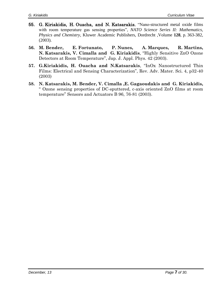- 55. G. Kiriakidis, H. Ouacha, and N. Katsarakis, "Nano-structured metal oxide films with room temperature gas sensing properties", *NATO Science Series II: Mathematics, Physics and Chemistry*, Kluwer Academic Publishers, Dordrecht ,Volume **128**, p. 363-382, (2003).
- **56. M. Bender, E. Fortunato, P. Nunes, A. Marques, R. Martins, N. Katsarakis, V. Cimalla and G. Kiriakidis**, "Highly Sensitive ZnO Ozone Detectors at Room Temperature", Jap. J. Appl. Phys. 42 (2003).
- **57. G.Kiriakidis, H. Ouacha and N.Katsarakis**, "InOx Nanostructured Thin Films: Electrical and Sensing Characterization", Rev. Adv. Mater. Sci. 4, p32-40 (2003)
- **58. N. Katsarakis, M. Bender, V. Cimalla ,E. Gagaoudakis and G. Kiriakidis,** " Ozone sensing properties of DC-sputtered, c-axis oriented ZnO films at room temperature" Sensors and Actuators B 96, 76-81 (2003).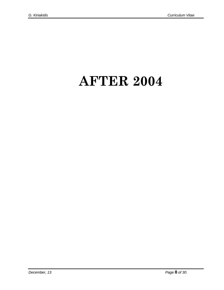# **AFTER 2004**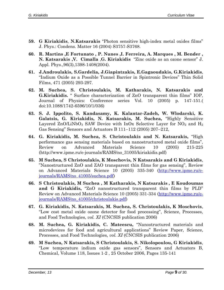- **59. G Kiriakidis**, **N.Katsarakis** "Photon sensitive high-index metal oxides films" J. Phys.: Condens. Matter 16 (2004) S3757-S3768.
- **60. R. Martins ,E Fortunato , P. Nunes ,I. Ferreira, A. Marques , M. Bender , N. Katsarakis ,V. Cimalla** ,**G. Kiriakidis** "Zinc oxide as an ozone sensor" J. Appl. Phys.,96(3),1398-1408(2004).
- **61. J.Androulakis, S.Gardelia, J.Giapintzakis, E.Gagaoudakis, G.Kiriakidis**, "Indium Oxide as a Possible Tunnel Barrier in Spintronic Devices" Thin Solid Films, 471 (2005) 293-297.
- **62. M. Suchea, S. Christoulakis, M. Katharakis, N. Katsarakis and G.Kiriakidis.** " Surface characterization of ZnO transparent thin films" IOP, Journal of Physics: Conference series Vol. 10 (2005) p. 147-151.( doi:10.1088/1742-6596/10/1/036)
- **63. S. J. Ippolito, S. Kandasamy, K. Kalantar-Zadeh, W. Wlodarski, K. Galatsis, G. Kiriakidis, N. Katsarakis, M. Suchea,** "Highly Sensitive Layered  $\text{ZnO/LiNbO}_3$  SAW Device with InOx Selective Layer for NO<sub>2</sub> and H<sub>2</sub> Gas Sensing" Sensors and Actuators B 111–112 (2005) 207–212,
- **64. G. Kiriakidis, M. Suchea, S. Christoulakis and N. Katsarakis,** "High performance gas sensing materials based on nanostructured metal oxide films", Review on Advanced Materials Science 10 (2005) 215-225 (http://www.ipme.ru/e-journals/RAMS/no\_31005/kiriakidis.pdf)
- **65. M Suchea, S Christoulakis, K Moschovis, N Katsarakis and G Kiriakidis**, "Nanostructured ZnO and ZAO transparent thin films for gas sensing", Review on Advanced Materials Science 10 (2005) 335-340 [\(http://www.ipme.ru/e](http://www.ipme.ru/e-journals/RAMS/no_41005/suchea.pdf)[journals/RAMS/no\\_41005/suchea.pdf\)](http://www.ipme.ru/e-journals/RAMS/no_41005/suchea.pdf)
- **66. S Christoulakis, M Suchea , M Katharakis, N Katsarakis , E Koudoumas and G Kiriakidis,** "ZnO nanostructured transparent thin films by PLD" Review on Advanced Materials Science 10 (2005) 331-334 [\(http://www.ipme.ru/e](http://www.ipme.ru/e-journals/RAMS/no_41005/christoulakis.pdf)[journals/RAMS/no\\_41005/christoulakis.pdf\)](http://www.ipme.ru/e-journals/RAMS/no_41005/christoulakis.pdf)
- **67. G. Kiriakidis, N. Katsarakis, M. Suchea, S. Christoulakis, K Moschovis**, "Low cost metal oxide ozone detector for food processing", Science, Processes, and Food Technologies*, vol. XI* (CNCSIS publication 2006)
- **68. M. Suchea, G. Kiriakidis, C. Mateescu,** "Nanostructured materials and microdevices for food and agricultural applications" Review Paper, Science, Processes, and Food Technologies*, vol. XI* (CNCSIS publication 2006)
- **69. M Suchea, N Katsarakis, S Christoulakis, S. Nikolopoulou, G Kiriakidis**, "Low temperature indium oxide gas sensors", Sensors and Actuators B, [Chemical, Volume 118, Issues 1-2](http://www.sciencedirect.com/science?_ob=PublicationURL&_cdi=5283&_pubType=J&_auth=y&_acct=C000059647&_version=1&_urlVersion=0&_userid=577928&md5=8f1eea47a6579fe4d5bc50a91bc8a985) , 25 October 2006, Pages 135-141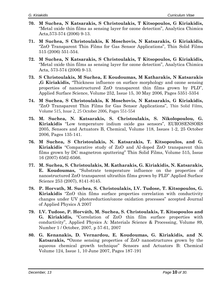- **70. M Suchea, N Katsarakis, S Christoulakis, T Kitsopoulos, G Kiriakidis,** "Metal oxide thin films as sensing layer for ozone detection", Analytica Chimica Acta,573-574 (2006) 9-13.
- **71. M Suchea, S Christoulakis, K Moschovis, N Katsarakis, G Kiriakidis,** "ZnO Transparent Thin Films for Gas Sensor Applications", Thin Solid Films 515 (2006) 551-554.
- **72. M Suchea, N Katsarakis, S Christoulakis, T Kitsopoulos, G Kiriakidis,** "Metal oxide thin films as sensing layer for ozone detection", Analytica Chimica Acta, 573-574 (2006) 9-13.
- **73. S Christoulakis, M Suchea, E Koudoumas, M Katharakis, N Katsarakis ,G Kiriakidis,** "Thickness influence on surface morphology and ozone sensing properties of nanostructured ZnO transparent thin films grown by PLD", Applied Surface Science, Volume 252, Issue 15, 30 May 2006, Pages 5351-5354
- **74. M Suchea, S Christoulakis, K Moschovis, N Katsarakis, G Kiriakidis,** "ZnO Transparent Thin Films for Gas Sensor Applications", Thin Solid Films, Volume 515, Issue 2, 25 October 2006, Pages 551-554
- **75. M. Suchea, N. Katsarakis, S. Christoulakis, S. Nikolopoulou, G. Kiriakidis** "Low temperature indium oxide gas sensors", EUROSENSORS 2005, Sensors and Actuators B, Chemical, Volume 118, Issues 1-2, 25 October 2006, Pages 135-141.
- **76. M Suchea, S Christoulakis, N. Katsarakis, T. Kitsopoulos, and G. Kiriakidis** "Comparative study of ZnO and Al-doped ZnO transparent thin films grown by DC magnetron sputtering" Thin Solid Films, Volume 515, Issue 16 (2007) 6562-6566.
- **77. M. Suchea, S. Christoulakis, M. Katharakis, G. Kiriakidis, N. Katsarakis, E. Koudoumas,** "Substrate temperature influence on the properties of nanostructured ZnO transparent ultrathin films grown by PLD" Applied Surface Science 253 (2007), 8141-8145.
- **78. P. Horvath, M. Suchea, S. Christoulakis, I.V. Tudose, T. Kitsopoulos, G. Kiriakidis** "ZnO thin films surface properties correlation with conductivity changes under UV photoreduction/ozone oxidation processes" accepted Journal of Applied Physics A 2007
- **79. I.V. Tudose, P. Horváth, M. Suchea, S. Christoulakis, T. Kitsopoulos and G. Kiriakidis,** "Correlation of ZnO thin film surface properties with conductivity", [Applied Physics A: Materials Science & Processing,](http://www.springerlink.com/content/100501/) [Volume 89,](http://www.springerlink.com/content/x92g549r0w5h/)  [Number 1 / October, 2007,](http://www.springerlink.com/content/x92g549r0w5h/) p 57-61, 2007
- **80. G. [Kenanakis,](http://www.science-direct.com/science?_ob=ArticleURL&_udi=B6THH-4MNR0HP-1&_user=577928&_coverDate=06%2F10%2F2007&_alid=615517827&_rdoc=4&_fmt=full&_orig=search&_cdi=5283&_sort=d&_docanchor=&view=c&_ct=7&_acct=C000059647&_version=1&_urlVersion=0) D. [Vernardou,](http://www.science-direct.com/science?_ob=ArticleURL&_udi=B6THH-4MNR0HP-1&_user=577928&_coverDate=06%2F10%2F2007&_alid=615517827&_rdoc=4&_fmt=full&_orig=search&_cdi=5283&_sort=d&_docanchor=&view=c&_ct=7&_acct=C000059647&_version=1&_urlVersion=0) E. [Koudoumas,](http://www.science-direct.com/science?_ob=ArticleURL&_udi=B6THH-4MNR0HP-1&_user=577928&_coverDate=06%2F10%2F2007&_alid=615517827&_rdoc=4&_fmt=full&_orig=search&_cdi=5283&_sort=d&_docanchor=&view=c&_ct=7&_acct=C000059647&_version=1&_urlVersion=0) G. [Kiriakidis,](http://www.science-direct.com/science?_ob=ArticleURL&_udi=B6THH-4MNR0HP-1&_user=577928&_coverDate=06%2F10%2F2007&_alid=615517827&_rdoc=4&_fmt=full&_orig=search&_cdi=5283&_sort=d&_docanchor=&view=c&_ct=7&_acct=C000059647&_version=1&_urlVersion=0) and N. [Katsarakis](http://www.science-direct.com/science?_ob=ArticleURL&_udi=B6THH-4MNR0HP-1&_user=577928&_coverDate=06%2F10%2F2007&_alid=615517827&_rdoc=4&_fmt=full&_orig=search&_cdi=5283&_sort=d&_docanchor=&view=c&_ct=7&_acct=C000059647&_version=1&_urlVersion=0), "**Ozone sensing properties of ZnO nanostructures grown by the aqueous chemical growth technique" [Sensors and Actuators B: Chemical](http://www.science-direct.com/science/journal/09254005) [Volume 124, Issue 1,](http://www.science-direct.com/science?_ob=PublicationURL&_tockey=%23TOC%235283%232007%23998759998%23655439%23FLA%23&_cdi=5283&_pubType=J&view=c&_auth=y&_acct=C000059647&_version=1&_urlVersion=0&_userid=577928&md5=894d8b7dbb736ba7bd185a2e56c0090) 10 June 2007, Pages 187-191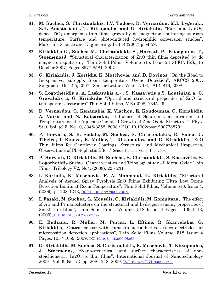- **81. M. Suchea, S. Christoulakis, I.V. Tudose, D. Vernardou, M.I. Lygeraki, S.H. Anastasiadis, T. Kitsopoulos and G. Kiriakidis, "Pure and Nb<sub>2</sub>O<sub>5</sub>**doped  $TiO<sub>2</sub>$  amorphous thin films grown by dc magnetron sputtering at room temperature: Surface and photo-induced hydrophilic conversion studies", Materials Science and Engineering: B, 144 (2007) p 54-59.
- **82. [Kiriakidis](http://www.scopus.com/scopus/search/submit/author.url?author=Kiriakidis%2c+G.&authorId=8066811200&origin=recordpage) G., [Suchea M.,](http://www.scopus.com/scopus/search/submit/author.url?author=Suchea%2c+M.&authorId=9279148000&origin=recordpage) [Christoulakis](http://www.scopus.com/scopus/search/submit/author.url?author=Christoulakis%2c+S.&authorId=9248896500&origin=recordpage) S., [Horvath P.,](http://www.scopus.com/scopus/search/submit/author.url?author=Horvath%2c+P.&authorId=21834430800&origin=recordpage) [Kitsopoulos](http://www.scopus.com/scopus/search/submit/author.url?author=Kitsopoulos%2c+T.&authorId=16241717200&origin=recordpage) T., [StoemenosJ.](http://www.scopus.com/scopus/search/submit/author.url?author=Stoemenos%2c+J.&authorId=21835094500&origin=recordpage) "**Structural characterization of ZnO thin films deposited by dc magnetron sputtering" Thin Solid Films, Volume 515, Issue 24 SPEC. ISS., 15 October 2007, Pages 8577-8581, 2007
- **83. G. Kiriakidis, J. Kortidis, K. Moschovis, and D. Dovinos** "On the Road to Inexpensive, sub-ppb, Room temperature Ozone Detection", AECCS 2007, Singapore, Dec 2-5, 2007 . Sensor Letters, Vol.6, N0 6, p812–816, 2008
- 84. S. Logothetidis a, A. Laskarakis a,\*, S. Kassavetis a,S. Lousinian a, C. **Gravalidis a, G. Kiriakidis** "Optical and structural properties of ZnO for transparent electronics" Thin Solid Films, 516 (2008) 1345-49.
- **85. D. Vernardou, G. Kenanakis, K. Vlachou, E. Koudoumas, G. Kiriakidis, A. Vairis and N. Katsarakis,** "Influence of Solution Concentration and Temperature on the Aqueous Chemical Growth of Zinc Oxide Structures", Phys. Stat. Sol. (c) 5, No 10, 3348-3352, 2008 / DOI 10.1002/pssc.200778879.
- **86. P. Horvath, S. B. Sadale, M. Suchea, S. Christoulakis, R. Voicu, C. Tibeica, I. Bineva, R. Muller, T. Kitsopoulos, and G. Kiriakidis**, "ZnO Thin Films for Cantilever Coatings: Structural and Mechanical Properties, Observations of Photoplastic Effect" Sensor Letters, Vol.6, 1–6, 2008.
- **87. P. Horvath, G. Kiriakidis, M. Suchea , S. Christoulakis, S. Kassavetis, S. Logothetidis** Surface Characteristics and Tribology study of Metal Oxide Thin Films, Tribology V2, No4, (2008), 225-231
- **88. I. Kortidis, K. Moschovis, F. A. Mahmoud, G. Kiriakidis**, "Structural Analysis of Aerosol Spray Pyrolysis ZnO Films Exhibiting Ultra Low Ozone Detection Limits at Room Temperature", Thin Solid Films, [Volume 518, Issue 4,](http://www.sciencedirect.com/science?_ob=PublicationURL&_tockey=%23TOC%235548%232009%23994819995%231564100%23FLA%23&_cdi=5548&_pubType=J&view=c&_auth=y&_acct=C000059647&_version=1&_urlVersion=0&_userid=577928&md5=65702bf7538a423dbb597e075757db4f) (2009), p 1208-1213; <u>DOI: 10.1016/j.tsf.2009.08.018.</u>
- **89. I. Fasaki, M. Suchea, G. Mousdis, G. Kiriakidis, M. Kompitsas** , "The effect of Au and Pt nanoclusters on the structural and hydrogen sensing properties of SnO2 thin films", Thin Solid Films, Volume: 518 Issue: 4 Pages: 1109-1113, (2009), DOI:10.1016/j.tsf.2009.07.192
- **90. E. Budianu, R. Muller, M. Purica, L. Eftime, R. Skarvelakis, G. Kiriakidis**, *"*Optical sensor with transparent conductive oxides electrodes for microposition detection applications", Thin Solid Films Volume: 518 Issue: 4 Pages: 1057-1059, 2009, <u>DOI:10.1016/j.tsf.2009.06.055.</u>
- **91. [G. Kiriakidis,](http://www.inderscience.com/search/index.php?action=basic&wf=author&year1=1995&year2=2007&o=2&q=G.%20Kiriakidis) [M. Suchea,](http://www.inderscience.com/search/index.php?action=basic&wf=author&year1=1995&year2=2007&o=2&q=%20M.%20Suchea) [S. Christoulakis,](http://www.inderscience.com/search/index.php?action=basic&wf=author&year1=1995&year2=2007&o=2&q=%20S.%20Christoulakis) [K. Moschovis,](http://www.inderscience.com/search/index.php?action=basic&wf=author&year1=1995&year2=2007&o=2&q=%20K.%20Moschovis) [T. Kitsopoulos,](http://www.inderscience.com/search/index.php?action=basic&wf=author&year1=1995&year2=2007&o=2&q=%20T.%20Kitsopoulos) [J. Stoemenos](http://www.inderscience.com/search/index.php?action=basic&wf=author&year1=1995&year2=2007&o=2&q=%20J.%20Stoemenos), "**Nano-structural and surface characteristics of nonstoichiometric In2O3−x thin films", [International Journal of Nanotechnology](http://www.inderscience.com/browse/index.php?journalID=54&year=2009&vol=6&issue=1/2)  2009 - [Vol. 6, No.1/2 pp.](http://www.inderscience.com/browse/index.php?journalID=54&year=2009&vol=6&issue=1/2) 208 - 218, 2009, DOI: 10.1504/IJNT.2009.021717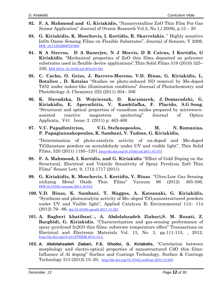- **92. F. A. Mahmoud and G. Kiriakidis,** "Nanocrystalline ZnO Thin Film For Gas Sensor Application" Journal of Ovonic Research Vol.5, No.1,( 2009), p.15 – 20
- **93. G. Kiriakidis, K. Moschovis, I. Kortidis, R. Skarvelakis**, " Highly sensitive InOx Ozone Sensing Films on Flexible Substrates", Journal of Sensors, V 2009, DOI: 10.1155/2009/727893
- **94. K A Sierros, D A Banerjee, N J Morris, D R Cairns, I Kortidis, G Kiriakidis**, "Mechanical properties of ZnO thin films deposited on polyester substrates used in flexible device applications",Thin Solid Films 519 (2010) 325– 330, DOI 2010, 10.1016/j.tsf.2010.07.081
- **95. C. Cacho, O. Geiss, J. Barrero-Moreno, V.D. Binas, G. Kiriakidis, L. Botalico , D. Kotzias** "Studies on photo-induced NO removal by Mn-doped TiO2 under indoor-like illumination conditions" Journal of Photochemistry and Photobiology A: Chemistry 222 (2011) 304– 306
- **96. K. Sieradzka, D. Wojcieszak, D. Kaczmarek, J. Domaradzki, G. Kiriakidis, E. Aperathitis, V. Kambilafka, F. Placido, S.G Song**, "Structural and optical properties of vanadium oxides prepared by microwaveassisted reactive magnetron sputtering" Journal of Optica Applicata, V41 Issue: 2 (2011) p: 463-469
- **97. V.C. Papadimitriou, V.G. Stefanopoulos, M. N. Romanias, P. Papagiannakopoulos, K. Sambani, V. Tudose, G. Kiriakidis,**

"Determination of photo-catalytic activity of un-doped and Mn-doped TiO2anatase powders on acetaldehyde under UV and visible light", Thin Solid Films, 520 (2011) 1195–1201, <http://dx.doi.org/10.1016/j.tsf.2011.07.073>

- **98. F. A. Mahmoud, I. Kortidis, and G. Kiriakidis** "Effect of Gold Doping on the Structural, Electrical and Volatile Sensitivity of Spray Pyrolysis ZnO Thin Films" Sensor Lett. 9, 1712-1717 (2011)
- **99. G. Kiriakidis, K. Moschovis, I. Kortidis, V. Binas** "Ultra-Low Gas Sensing utilizing Metal Oxide Thin Films" Vacuum 86 (2012) 495-506, DOI:10.1016/j.vacuum.2011.10.013
- **100. V.D. Binas, K. Sambani, T. Maggos, A. Katsanaki, G. Kiriakidis,**  "Synthesis and photocatalytic activity of Mn–doped TiO2nanostructured powders under UV and Visible light", Applied Catalysis B: Environmental 113– 114 (2012) 79– 86, [doi:10.1016/j.apcatb.2011.11.021](http://dx.doi.org/10.1016/j.apcatb.2011.11.021)
- **101. A. Bagheri khatibani , A. Abdolahzadeh Ziabari,S. M. Rozati, Z. Bargbidi, G. Kiriakidis**, "Characterization and gas-sensing performance of spray pyrolysed In2O3 thin films: substrate temperature effect" Transactions on Electrical and Electronic Materials Vol. 13, No. 3, pp.111-115, , 2012, [http://dx.doi.org/10.4313/TEEM.2012.13.3.](http://dx.doi.org/10.4313/TEEM.2012.13.3)
- **102. [A. Abdolahzadeh Ziabari,](http://www.sciencedirect.com/science/article/pii/S0257897212009371?v=s5) F.E. Ghodsi, [G. Kiriakidis,](http://www.sciencedirect.com/science/article/pii/S0257897212009371?v=s5)** "Correlation between morphology and electro-optical properties of nanostructured CdO thin films: Influence of Al doping" [Surface and Coatings Technology,](http://www.sciencedirect.com/science/journal/02578972) Surface & Coatings Technology 213 (2012) 15–20, http://dx.doi.org/10.1016/j.surfcoat.2012.10.003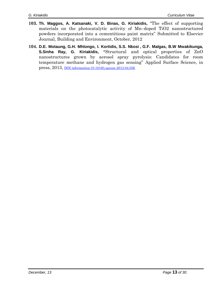- **103. Th. Maggos, A. Katsanaki, V. D. Binas, G. Kiriakidis,** "The effect of supporting materials on the photocatalytic activity of Mn–doped TiO2 nanostructured powders incorporated into a cementitious paint matrix" Submitted to Elsevier Journal, Building and Environment, October, 2012
- **104. D.E. Motaung, G.H. Mhlongo, I. Kortidis, S.S. Nkosi , G.F. Malgas, B.W Mwakikunga, S.Sinha Ray, G. Kiriakidis, "**Structural and optical properties of ZnO nanostructures grown by aerosol spray pyrolysis: Candidates for room temperature methane and hydrogen gas sensing" Applied Surface Science, in press, 2013, DOI information:10.1016/j.apsusc.2013.04.056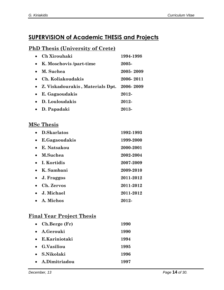# **SUPERVISION of Academic THESIS and Projects**

### **PhD Thesis (University of Crete)**

| Ch Xirouhaki                       | 1994-1998 |
|------------------------------------|-----------|
| K. Moschovis /part-time            | 2005-     |
| M. Suchea                          | 2005-2009 |
| • Ch. Koliakoudakis                | 2006-2011 |
| • Z. Viskadourakis, Materials Dpt. | 2006-2009 |
| E. Gagaoudakis                     | 2012-     |
| D. Louloudakis                     | 2012-     |
| • D. Papadaki                      | 2013-     |

#### **MSc Thesis**

|           | <b>D.Skarlatos</b>   | 1992-1993 |
|-----------|----------------------|-----------|
| $\bullet$ | E.Gagaoudakis        | 1999-2000 |
| $\bullet$ | E. Natsakou          | 2000-2001 |
|           | M.Suchea             | 2002-2004 |
|           | I. Kortidis          | 2007-2009 |
|           | K. Sambani           | 2009-2010 |
|           | $\bullet$ J. Fraggos | 2011-2012 |
|           | Ch. Zervos           | 2011-2012 |
|           | • J. Michael         | 2011-2012 |
|           | A. Michos            | 2012-     |

## **Final Year Project Thesis**

| • $Ch.Berge$ (Fr)   | 1990 |
|---------------------|------|
| $\bullet$ A.Gerouki | 1990 |
| E.Kariniotaki       | 1994 |
| • G.Vasiliou        | 1995 |
| • S.Nikolaki        | 1996 |
| A.Dimitriadou       | 1997 |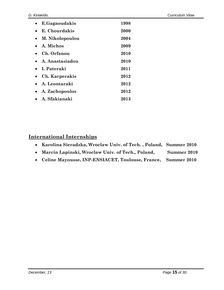| $\bullet$ | E.Gagaoudakis       | 1998 |
|-----------|---------------------|------|
|           | E. Chourdakis       | 2000 |
|           | M. Nikolopoulou     | 2004 |
|           | $\bullet$ A. Michos | 2009 |
|           | • Ch. Orfanou       | 2010 |
|           | • A. Anastasiadou   | 2010 |
|           | • I. Pateraki       | 2011 |
|           | • Ch. Karperakis    | 2012 |
|           | • A. Leontaraki     | 2012 |
|           | • A. Zachopoulos    | 2012 |
|           | • A. Sfakianaki     | 2013 |

#### **International Internships**

- **Karolina Sieradzka, Wroclaw Univ. of Tech. , Poland, Summer 2010**
- **Marcin Lapinski, Wroclaw Univ. of Tech., Poland, Summer 2010**
- **Celine Mayousse, INP-ENSIACET, Toulouse, France, Summer 2010**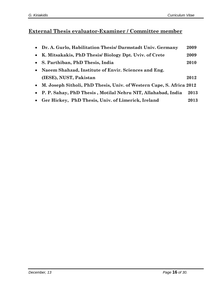## **External Thesis evaluator-Examiner / Committee member**

|           | • Dr. A. Gurlo, Habilitation Thesis/ Darmstadt Univ. Germany           | 2009 |
|-----------|------------------------------------------------------------------------|------|
|           | • K. Mitsakakis, PhD Thesis/ Biology Dpt. Uviv. of Crete               | 2009 |
|           | • S. Parthiban, PhD Thesis, India                                      | 2010 |
| $\bullet$ | Naeem Shahzad, Institute of Envir. Sciences and Eng.                   |      |
|           | (IESE), NUST, Pakistan                                                 | 2012 |
|           | • M. Joseph Sitholi, PhD Thesis, Univ. of Western Cape, S. Africa 2012 |      |
|           | • P. P. Sahay, PhD Thesis, Motilal Nehru NIT, Allahabad, India         | 2013 |
|           | • Ger Hickey, PhD Thesis, Univ. of Limerick, Ireland                   | 2013 |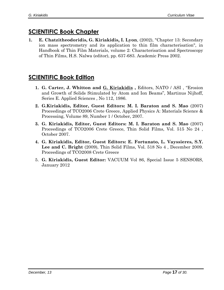## **SCIENTIFIC Book Chapter**

**1. E. Chatzitheodoridis, G. Kiriakidis, I. Lyon**, (2002), "Chapter 13: Secondary ion mass spectrometry and its application to thin film characterisation", in Handbook of Thin Film Materials, volume 2: Characterisation and Spectroscopy of Thin Films, H.S. Nalwa (editor), pp. 637-683. Academic Press 2002.

## **SCIENTIFIC Book Edition**

- **1. G. Carter, J. Whitton and G. Kiriakidis ,** Editors, NATO / ASI , "Erosion and Growth of Solids Stimulated by Atom and Ion Beams", Martinus Nijhoff, Series E. Applied Sciences , No 112, 1986.
- **2. G.Kiriakidis, Editor, Guest Editors: M. I. Baraton and S. Mao** (2007) Proceedings of TCO2006 Crete Greece, [Applied Physics A: Materials Science &](http://www.springerlink.com/content/100501/)  [Processing,](http://www.springerlink.com/content/100501/) [Volume 89, Number 1 / October, 2007.](http://www.springerlink.com/content/x92g549r0w5h/)
- **3. G. Kiriakidis, Editor, Guest Editors: M. I. Baraton and S. Mao** (2007) Proceedings of TCO2006 Crete Greece, Thin Solid Films, Vol. 515 No 24 , October 2007.
- **4. G. Kiriakidis, Editor, Guest Editors: E. Fortunato, L. Vayssieres, S.Y. Lee and C. Bright** (2009), Thin Solid Films, Vol. 518 No 4 , December 2009. Proceedings of TCO2008 Crete Greece
- 5. **G. Kiriakidis, Guest Editor:** VACUUM Vol 86, Special Issue 5 SENSORS, January 2012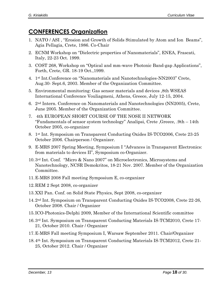## **CONFERENCES Organization**

- 1. NATO / ASI , "Erosion and Growth of Solids Stimulated by Atom and Ion Beams", Agia Pellagia, Crete, 1986. Co-Chair
- 2. ECNM Workshop on "Dielectric properties of Nanomaterials", ENEA, Frascati, Italy, 22-23 Oct. 1999.
- 3. COST 268, Workshop on "Optical and mm-wave Photonic Band-gap Applications", Forth, Crete, GR. 18-19 Oct.,1999.
- 4. 1st Int.Conference on "Nanomaterials and Nanotechnologies-NN2003" Crete, Aug.30- Sept.6, 2003. Member of the Organization Committee.
- 5. Environmental monitoring: Gas sensor materials and devices ,8th WSEAS International Conference Vouliagmeni, Athens, Greece, July 12-15, 2004.
- 6. 2nd Intern. Conference on Nanomaterials and Nanotechnologies (NN2005), Crete, June 2005. Member of the Organization Committee.
- 7. 4th EUROPEAN SHORT COURSE OF THE NOSE II NETWORK "Fundamentals of sensor system technology" Analipsi, Crete ,Greece, .9th – 14th October 2005, co-organizer
- 8. 1st Int. Symposium on Transparent Conducting Oxides IS-TCO2006, Crete 23-25 October 2006. Chairperson / Organizer.
- 9. E-MRS 2007 Spring Meeting, Symposium I "Advances in Transparent Electronics: from materials to devices II", Symposium co-Organizer.
- 10.3rd Int. Conf. "Micro & Nano 2007" on Microelectronics, Microsystems and Nanotechnology, NCSR Demokritos, 18-21 Nov. 2007. Member of the Organization Committee.
- 11.E-MRS 2008 Fall meeting Symposium E, co-organizer
- 12.REM 2 Sept 2008, co-organizer
- 13.XXI Pan. Conf. on Solid State Physics, Sept 2008, co-organizer
- 14.2nd Int. Symposium on Transparent Conducting Oxides IS-TCO2008, Crete 22-26, October 2008. Chair / Organizer
- 15. ICO-Photonics-Delphi 2009, Member of the International Scientific committee
- 16.3rd Int. Symposium on Transparent Conducting Materials IS-TCM2010, Crete 17- 21, October 2010. Chair / Organizer
- 17.E-MRS Fall meeting Symposium I, Warsaw September 2011. Chair/Organizer
- 18.4th Int. Symposium on Transparent Conducting Materials IS-TCM2012, Crete 21- 25, October 2012. Chair / Organizer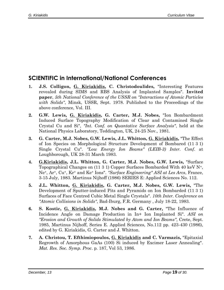### **SCIENTIFIC in International/National Conferences**

- **1. J.S. Colligon, G. Kiriakidis, C. Christodoulides,** "Interesting Features revealed during SIMS and RBS Analysis of Implanted Samples". **Invited paper**, *5th National Conference of the USSR on "Interactions of Atomic Particles with Solids"*, Minsk, USSR, Sept. 1978. Published to the Proceedings of the above conference, Vol. III.
- **2. G.W. Lewis, G. Kiriakidis, G. Carter, M.J. Nobes,** "Ion Bombardment Induced Surface Topography Modification of Clear and Contamined Single Crystal Cu and Si", *"Int. Conf. on Quantative Surface Analysis"*, held at the National Physics Laboratory, Teddington, UK, 24-25 Nov., 1981.
- **3. G. Carter, M.J. Nobes, G.W. Lewis, J.L. Whitton, G. Kiriakidis,** "The Effect of Ion Species on Morphological Structure Development of Bombared (11 3 1) Single Crystal Cu". *"Low Energy Ion Beams" (LEIB-3) Inter. Conf*. at Loughborough, UK 28-31 March 1983.
- **4. G.Kiriakidis, J.L. Whitton, G. Carter, M.J. Nobes, G.W. Lewis,** "Surface Topographical Changes on (11 3 1) Copper Surfaces Bombarded With 40 keV N+, Ne+, Ar+, Cu+, Kr<sup>+</sup> and Ke<sup>+</sup> Ions". *"Surface Engineering" ASI at Les Arcs*, France, 3-15 July, 1983. Martinus Nijhoff (1986) SERIES E: Applied Sciences No. 112.
- **5. J.L. Whitton, G. Kiriakidis, G. Carter, M.J. Nobes, G.W. Lewis,** "The Development of Sputter-induced Pits and Pyramids on Ion Bombarded (11 3 1) Surfaces of Face Centred Cubic Metal Single Crystals". *10th Inter. Conference on "Atomic Collisions in Solids"*, Bad-Iburg, F.R. Germany , July 18-22, 1983.
- **6. S. Kostic, G. Kiriakidis, M.J. Nobes and G. Carter,** "The Influence of Incidence Angle on Damage Production in In+ Ion Implanted Si". *ASI on "Erosion and Growth of Solids Stimulated by Atom and Ion Beams"*, Crete, Sept. 1985, Martinus Nijhoff, Series E. Applied Sciences, No.112 pp. 423-430 (1986), edited by G. Kiriakidis, G. Carter and J. Whitton.
- **7. A. Christou, T. Efthimiopoulos, G. Kiriakidis and C. Varmazis,** "Epitaxial Regrowth of Amorphous GaAs (100) Si induced by Excimer Laser Annealing". *Mat. Res. Soc. Symp. Proc*. p. 187, Vol 53, 1986.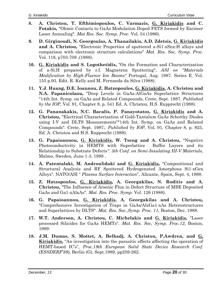- **8. A. Christou, T. Efthimiopoulos, C. Varmazis, G. Kiriakidis and C. Fotakis,** "Ohmic Contacts to GaAs Modulation Doped FETS formed by Excimer Laser Annealing". *Mat Res. Soc. Symp. Proc*. Vol. 54 (1986).
- **9. D. Girginoudi, N. Georgoulas, A. Thanailakis, A.D. Zdetsis, G. Kiriakidis and A. Christou,** "Electronic Properties of sputtered a-Si1-xSnx:H alloys and comparison with electronic structure calculations" *Mat. Res. Soc. Symp. Proc*. Vol. 118, p703-708 ,(1988).
- **10. G. Kiriakidis and S. Logothetidis,** "On the Formation and Characterization of a-Si:H prepared by r.f. Magnetron Sputtering", *ASI on "Materials Modification by High-Fluence Ion Beams"* Portugal, Aug. 1987. Series E. Vol. 155 p.93. Edit. R. Kelly and M. Fernanda da Silva (1988).
- **11. Y.J. Huang, D.E. Ioannou, Z. Hatzopoulos, G. Kiriakidis, A. Christou and N.A. Papanicolaou,** "Deep Levels in GaAs-AlGaAs Superlattice Structures "14th Int. Symp. on GaAs and Related Compounds, Crete, Sept. 1987. *Published by the IOP*, Vol. 91, Chapter 8, p. 541 Ed. A. Christou, H.S. Rupprecht (1988).
- **12. G. Pananakakis, N.C. Bacalis, P. Panayotatos, G. Kiriakidis and A. Christou,** "Electrical Characterization of Gold-Tantalum GaAs Schottky Diodes using I-V and DLTS Measurements""14th Int. Symp. on GaAs and Related Compounds". Crete, Sept. 1987,. *Published by IOP*, Vol. 91, Chapter 8, p. 825, Ed. A. Christou and H.S. Rupprecht (1988).
- **13. G. Papaioannou, G. Kiriakidis, W. Tseng and A. Christou,** "Negative Photoconductivity in HEMTS with Superlattice Buffer Layers and its Relationship to Substrate Defects*". 5th Conf. on Semi-Insulating III-V Materials*, Malmo, Sweden, June 1-3, 1988 .
- **14. A. Patentalaki, M. Androulidaki and G. Kiriakidis,** "Compositional and Structural Analysis and RF Sputtered Hydrogenated Amorphous Si1-xGex Alloys". NATO/ASI " *Plasma Surface Interaction*", Alicante, Spain, Sept. 4, 1988.
- **15. Z. Hatzopoulos, G. Kiriakidis, A. Georgakilas, N. Roditis and A. Christou,** "The Influence of Arsenic Flux in Defect Structure of MBE Deposited GaAs and Ga1-xAlxAs". *Mat. Res. Proc. Symp*. Vol. 126 (1988).
- **16. G. Papaioannou, G. Kiriakidis, A. Georgakilas and A. Christou,** "Comprehensive Investigation of Traps in GaAs/AlxGa1-xAs Heterostructures and Superlattices by DLTS". *Mat. Res. Soc.,Symp. Proc. 11*, Boston, Dec. 1988.
- **17. W.T. Anderson, A. Christou, C. Michelakis and G. Kiriakidis,** "Laser processed Silicides for GaAs HEMTs". *Mat. Res. Soc, Symp. Proc.12*, Boston, 1989.
- **18. J.M. Dumas, S. Mottet, A. Belhadj, A. Christou, P.Awdren, and G. Kiriakidis,** "An investigation into the parasitic effects affecting the operation of HEMT-based IC's", *Proc.19th European Solid State Device Research Conf. (ESSDERF'89)*, Berlin (G), Sept.1989, pp259-262.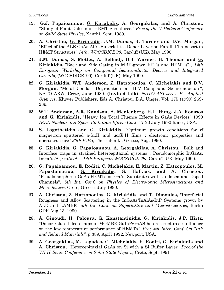- **19. G.J. Papaioannou, G. Kiriakidis, A. Georgakilas, and A. Christou., "**Study of Point Defects in HEMT Structures." *Proc.of the V Hellenic Conference on Solid State Physics*, Xanthi, Sept. 1989.
- **20. A. Christou, G. Kiriakidis, J.M. Dumas, J. Turner and D.V. Morgan**, "Effect of the ALE GaAs-AlAs Superlattice Donor Layer on Parallel Transport in HEMT Structures" *14th, WOCSDICE'90*, Cardiff (UK), May 1990.
- **21. J.M. Dumas, S. Mottet, A. Belhadj, D.J. Warner, H. Thomas and G. Kiriakidis,** "Back and Side Gating in MBE-grown FET's and HEMT's" , *14th European Workshop on Compound Semiconductor Devices and Integrated Circuits*, (WOCSDICE '90), Cardiff (UK), May 1990.
- **22. G. Kiriakidis, W.T. Anderson, Z. Hatzopoulos, C. Michelakis and D.V. Morgan,** "Metal Condact Degradation on III-V Compound Semiconductors", NATO ARW, Crete, June 1989. **(Invited talk)**. *NATO ASI series E : Applied Sciences*, Kluwer Publishers, Eds A. Christou, B.A. Unger, Vol. 175 (1990) 269- 289.
- **23. W.T. Anderson, A.R. Knudson, A. Menlenberg, H.L. Hung, J.A. Roussos and G. Kiriakidis,** "Heavy Ion Total Fluence Effects in GaAs Devices" 1990 *IEEE Nuclear and Space Radiation Effects Conf*. 17-20 July 1990 Reno , USA.
- **24. S. Logothetidis and G. Kiriakidis,** "Optimum growth conditions for rf magnetron sputtered a-Si:H and uc:Si:H films : electronic properties and microstructure*" 20th ICPS*, Thessaloniki, Greece, Aug. 1990.
- **25. G. Kiriakidis, G. Papaioannou, A. Georgakilas, A. Christou,** "Bulk and Interface traps in strained heteroepitaxial systems : Pseudomorphic InGaAs, InGaAs/Si, GaAs/Si". *14th European WOCSDICE '90*, Cardiff ,UK, May 1990.
- **26. G. Papaioannou, E. Roditi, C. Michelakis, E. Martin, Z. Hatzopoulos, M. Papastamatiou, G. Kiriakidis, G. Halkias, and A. Christou,**  "Pseudomorphic InGaAs HEMTs on GaAs Substrates with Undoped and Doped Channels". *5th Int. Conf. on Physics of Electro-optic Microstructures and Microdevices*. Crete, Greece, July 1990.
- **27. A. Christou, Z. Hatzopoulos, G. Kiriakidis and T. Dimoulas,** "Interfacial Rougness and Alloy Scattering in the InGaAs/InAlAs/InP Systems grown by ALE and LAMBE" *5th Int. Conf. on Superlattice and Microstructures*, Berlin GDR Aug.13, 1990.
- **28. A. Ginoudi. H. Paloura, G. Konstantinidis, G. Kiriakidis, J.P. Hirtz,** "Donor related deep traps in MOMBE GaInP/GaAS heterostructures : influence on the low temperature performance of HEMTs*" .Proc.4th Inter. Conf. On "InP and Related Materials"*, p.389, April 1992, Newport, USA.
- **29. A. Georgakilas, M. Lagadas, C. Michelakis, E. Roditi, G. Kiriakidis and A. Christou,** "Heteroepitaxial GaAs on Si with a Si Buffer Layer" *Proc.of the VII Hellenic Conference on Solid State Physics*, Crete, Sept. 1991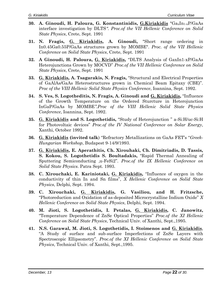- **30. A. Ginoudi, H. Paloura, G. Konstantinidis, G.Kiriakidis** "GaxIn1-xP/GaAs interface investigation by DLTS*". Proc.of the VII Hellenic Conference on Solid State Physics*, Crete, Sept. 1991
- **31. N. Fragis, G. Kiriakidis, A. Ginoudi,** "Short range ordering in In0.45Ga0.55P/GaAs structures grown by MOMBE". *Proc. of the VII Hellenic Conference on Solid State Physics*, Crete, Sept. 1991
- **32. A Ginoudi, H. Paloura, G. Kiriakidis,** "DLTS Analysis of GaxIn1-xP/GaAs Heterojunctions Grown by MOCVD" *Proc.of the VII Hellenic Conference on Solid State Physics*, Crete, Sept. 1991
- **33. G. Kiriakidis, A. Tsagarakis, N. Fragis,** "Structural and Electrical Properties of GaAlAs/GaAs Heterostructures grown in Chemical Beam Epitaxy (CBE)". *Proc of the VIII Hellenic Solid State Physics Conference*, Ioannina, Sept. 1992.
- **34. S. Ves, S. Logotheditis, N. Fragis, A. Ginoudi and G. Kiriakidis,** "Influence of the Growth Temperature on the Ordered Sturcture in Heterojunction InGaP/GaAs by MOMBE*".Proc of the VIII Hellenic Solid State Physics Conference*, Ioannina, Sept. 1992.
- **35. G. Kiriakidis and S. Logothetidis,** "Study of Heterojunction " a-Si:H/uc-Si:H for Photovoltaic devices" *Proc.of the IV National Conference on Solar Energy*, Xanthi, October 1992.
- **36. G. Kiriakidis (invited talk**) "Refractory Metallizations on GaAs FET's "*Greek-Hungarian Workshop*, Budapest 9-14/9/1993.
- **37. G. Kiriakidis, E. Aperathitis, Ch. Xirouhaki, Ch. Dimitriadis, D. Tassis, S. Kokou, S. Logothetidis S. Boultadakis,** "Rapid Thermal Annealing of Sputtering Semiconducting 'u-FeSi2". *Proc.of the IX Hellenic Conference on Solid State Physics*. Patra Sept. 1993.
- **38. C. Xirouchaki, E. Kariniotaki, G. Kiriakidis,** "Influence of oxygen in the conductivity of thin In and Sn films", *X Hellenic Conference on Solid State Physics*, Delphi, Sept. 1994.
- **39. C. Xirouchaki, G. Kiriakidis, G. Vasiliou, and H. Fritzsche,**  "Photoreduction and Oxidation of as-deposited Microcrystalline Indium Oxide" *X Hellenic Conference on Solid State Physics*, Delphi, Sept. 1994.
- **40. M. Jioti, S. Logothetidis, I. Petalas, G. Kiriakidis, C. Janowitz,**  "Temperature Dependence of ZnSe Optical Properties" *Proc.of the XI Hellenic Conference on Solid State Physics*, Technical Univ. of Xanthi, Sept.,1995.
- **41. N.S. Garawal, M. Jioti, S. Logothetidis, I. Stoimenos and G. Kiriakidis**, "A Study of surface and sub-surface Imperfections of ZnSe Layers with Spectroscopic Ellipsometry". *Proc.of the XI Hellenic Conference on Solid State Physics*, Technical Univ. of Xanthi, Sept.,1995.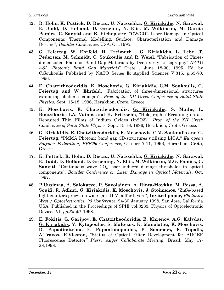- **42. R. Holm, K. Puttick, D. Ristau, U. Natzschka, G. Kiriakidis, N. Garawal, E. Judd, D. Holland, D. Greenin, N. Elis, M. Wilkinson, M. Garcia Pamies, C. Sanviti and B. Etcheparre**, "CW/CO2 Laser Damage in Optical Components: Thermal Modelling, Surface, Characterisation and Damage Destine", *Boulder Conference*, USA, Oct.1995.
- **43. G. Feiertag, W. Ehrfeld, H. Freimuth , G. Kiriakidis, L. Lehr, T. Pedersen, M. Schmidt, C. Soukoulis and R. Weiel**, "Fabrication of Threedimensional Photonic Band Gap Materials by Deep x-ray Lithography" *NATO ASI "Photonic Band Gap Materials*" Crete , June 18-30, 1995. Ed. by C.Soukoulis Published by NATO Series E: Applied Sciences V.315, p.63-70, 1996.
- **44. E. Chatzitheodoridis, K. Moschovis, G. Kiriakidis, C.M. Soukoulis, G. Feiertag and W. Ehrfeld**, "Fabrication of three-dimensional structures exhibiting photonic bandgap",. *Proc. of the XII Greek Conference of Solid State Physics*, Sept. 15-18, 1996, Heraklion, Crete, Greece.
- **45. K. Moschovis, E. Chatzitheodoridis, G. Kiriakidis, S. Mailis, L. Boutsikaris, I.A. Vainos and H. Fritzsche**, "Holographic Recording on as-Deposited Thin Films of Indium Oxides (In2O3)"*. Proc. of the XII Greek Conference of Solid State Physics*, Sept. 15-18, 1996, Heraklion, Crete, Greece.
- **46. G. Kiriakidis, E. Chatzitheodoridis, K. Moschovis, C.M. Soukoulis and G. Feiertag**, "PMMA Photonic band gap 3D-structures utilising LIGA." *European Polymer Federation, EPF'96 Conference*, October 7-11, 1996, Heraklion, Crete, Greece.
- **47. K. Puttick, R. Holm, D. Ristau, U. Natzschka, G. Kiriakidis, N. Garawal, E. Judd, D. Holland, D. Greening, N. Ellis, M. Wilkinson, M.G. Pamies, C. Sanviti,** "Continuous wave CO<sub>2</sub> laser induced damage thresholds in optical components", *Boulder Conference on Laser Damage in Optical Materials*, Oct. 1997.
- **48. P.Uusimaa, A. Salokatve, P. Savolainen, A. Rinta-Moykky, M. Pessa, A. Souifi, R. Adhiri, G. Kiriakidis, K. Moschovis, J. Stoimenos***,* "ZnSe-based light emitters grown on wide-gap III-V buffer layers"*,* **Invited paper,** *Photonics West / Optoelectronics '98 Conference*, 24-30 January 1998, San Jose, California USA. Published in the Proceedings of SPIE vol.3283, Physics of Optoelectronic Devices VI*, pp.39-50,* 1998.
- **49. E. Fokitis, G. Garipov, E. Chatzitheodoridis, B. Khrenov, A.G. Kalydas, G. Kiriakidis, V. Kytopoulos, S. Maltezos, K. Manolatou, K. Moschovis, D. Papadimitriou, E. Papantonopoulos, P. Sommers, F. Topalis, A.Travos, R.Vlastou,** "Status of Optical Filter Development for AUGER Fluorescence Detector*" Pierre Auger Collaborate Meeting*, Brazil, May 17- 28,1998.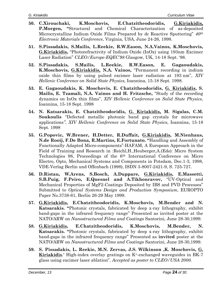- **50. C.Xirouchaki, K.Moschovis, E.Chatzitheodoridis, G.Kiriakidis, P.Morgen, "**Structural and Chemical Characterization of as-deposited Microcrystalline Indium Oxide Films Prepared by dc Reactive Sputtering" *40th Electronic Materials Conference*, Virginia, USA, June 24-26, 1998.
- **51. S.Pissadakis, S.Mailis, L.Reekie, R.W.Eason, N.A.Vainos, K.Moschovis, G.Kiriakidis,** "Photorefractivity of Indium Oxide (InOx) using 193nm Excimer Laser Radiation" *CLEO/Europe-EQEC'98* Glasgow, UK, 14-18 Sept. '98.
- **52. S.Pissadakis, S.Mailis, L.Reekie, R.W.Eason, E. Gagaoudakis, K.Moschovis, G.Kiriakidis, N.A. Vainos,** "Permanent recording in indium oxide thin films by using pulsed excimer laser radiation at 193 nm", *XIV Hellenic Conference on Solid State Physics,* Ioannina, 15-18 Sept. 1998.
- **53. E. Gagaoudakis, K. Moschovis, E. Chatzitheodoridis, G. Kiriakidis, S. Mailis, E. Tzamali, N.A. Vainos and H. Fritzsche,** "Study of the recording dynamics on InOx thin films", *XIV Hellenic Conference on Solid State Physics*, Ioannina, 15-18 Sept. 1998
- **54. N. Katsarakis, E. Chatzitheodoridis, G. Kiriakidis, M. Sigalas, C.M. Soukoulis** "Defected metallic photonic band gap crystals for microwave applications*"*, *XIV Hellenic Conference on Solid State Physics*, Ioannina, 15-18 Sept. 1998
- **55. G.Popovic, W.Brener, H.Detter, R.Duffait, G.Kiriakidis, M.Nienhaus, N.de Rooij, F.De Bona, R.Martins, E.Fortunato. "**Handling and Assembly of Functionally Adapted Micro-components"-HAFAM, A European Approach in the Field of Training and Research in :Reichl,H.,Heuberger,A.(Eds): Micro System Technologies 98, Proceedings of the 6th International Conference on Micro Electro, Opto, Mechanical Systems and Components in Potsdam, Dec.1-3, 1998, VDE-Verlag Berlin und Offenbach (1998), ISDN 3-8007-2421-9, S. 725-727.
- **56. D.Ristau, W.Arens, S.Bosch, A.Duppare, G.Kiriakidis, E.Massetti, S.B.Puig, F.Peiro, E.Quesnel and A.Tikhonravov,** "UV-Optical and Mechanical Properties of MgF2-Coatings Deposited by IBS and PVD Processes" Submitted to *Optical Systems Design and Production Symposium*, EUROPTO Paper No.3738-61, Berlin 26-29 May 1999.
- **57. G.Kiriakidis, E.Chatzitheodoridis, K.Moschovis, M.Bender and N. Katsarakis. "**Photonic crystals, fabricated by deep x-ray lithography, exhibit band-gaps in the infrared frequency range" Presented as invited poster at the NATO/ARW on *Nanostructured Films and Coatings* Santorini, June 28-30,1999.
- **58. G.Kiriakidis, E.Chatzitheodoridis, K.Moschovis, M.Bender, N. Katsarakis. "**Photonic crystals, fabricated by deep x-ray lithography, exhibit band-gaps in the infrared frequency range" Presented as **invited** poster at the NATO/ARW on *Nanostructured Films and Coatings* Santorini, June 28-30,1999.
- **59. S. Pissadakis, L. Reekie, M.N. Zervas, J.S. Wilkinson ,K. Moschovis, G. Kiriakidis.**" High-index overlay gratings on K+-exchanged waveguides in BK-7 glass using excimer laser ablation". *Accepted as poster to CLEO/USA 2000.*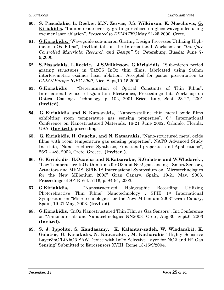- **60. S. Pissadakis, L. Reekie, M.N. Zervas, J.S. Wilkinson, K. Moschovis, G. Kiriakidis.** "Indium oxide overlay gratings realised on glass waveguides using excimer laser ablation". *Presented to EXMATEC* May 21-25,2000, Crete*.*
- **61. G.Kiriakidis,** "Waveguide sub-micron Grating Design Processes Utilizing Highindex InOx Films", **Invited** talk at the International Workshop on *"Interface Controlled Materials: Research and Design"* St. Petersburg, Russia; June 7- 9,2000.
- **62. S.Pissadakis, L.Reekie, J.S.Wilkinson, G.Kiriakidis.** "Sub-micron period grating structures in Ta2O5 InOx thin films, fabricated using 248nm interferometric excimer laser ablation." Accepted for poster presentation to *CLEO/Europe-IQEC 2000*, Nice, Sept,10-15,2000.
- **63. G.Kiriakidis** , "Determination of Optical Constants of Thin Films", International School of Quantum Electronics, Proceedings Int. Workshop on Optical Coatings Technology, p. 102, 2001 Erice, Italy, Sept. 23-27, 2001 (**Invited).**
- 64. **G. Kiriakidis and N. Katsarakis**, "Nanocrystalline thin metal oxide films exhibiting room temperature gas sensing properties", 6<sup>th</sup> International Conference on Nanostructured Materials, 16-21 June 2002, Orlando, Florida, USA, **(Invited )**, proceedings.
- **65. G. Kiriakidis, H. Ouacha, and N. Katsarakis,** "Nano-structured metal oxide films with room temperature gas sensing properties", NATO Advanced Study Institute, "Nanostructures: Synthesis, Functional properties and Applications", 26/7 – 4/8, 2002, Crete, Greece. **(Invited )**.
- **66. G. Kiriakidis**, **H.Ouacha and N.Katsarakis, K.Galatsis and W.Wlodarski,** "Low Temperature InOx thin films for O3 and NO2 gas sensing", Smart Sensors, Actuators and MEMS, SPIE 1st International Symposium on "Microtechnologies for the New Millenium 2003" Gran Canary, Spain, 19-21 May, 2003. Proceedings of SPIE Vol. 5116, p. 84-91, 2003.
- **67. G.Kiriakidis,** "Nanostructured Holographic Recording Utilizing Photorefractive Thin Films" Nanotechnology, SPIE 1<sup>st</sup> International Symposium on "Microtechnologies for the New Millenium 2003" Gran Canary, Spain, 19-21 May, 2003. **(Invited).**
- **68. G.Kiriakidis,** "InOx Nanostructured Thin Film as Gas Sensors", Int.Conference on "Nanomaterials and Nanotechnologies-NN2003" Crete, Aug.30- Sept.6, 2003 **(Invited).**
- **69. S. J. Ippolito, S. Kandasamy, K. Kalantar-zadeh, W. Wlodarski1, K. Galatsis, G. Kiriakidis, N. Katsarakis , M. Katharakis** "Highly Sensitive LayerZnO/LiNbO3 SAW Device with InOx Selective Layer for NO2 and H2 Gas Sensing" Submitted to Eurosensors XVIII Rome,13-15/9/2004.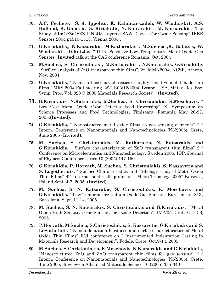- **70. A.C. Fechete, S. J. Ippolito, K. Kalantar-zadeh, W. Wlodarski1, A.S. Holland, K. Galatsis, G. Kiriakidis, N. Katsarakis , M. Katharakis,** "The Study of InOx/ZnO/XZ LiNbO3 Layered SAW Devices for Ozone Sensing" IEEE Sensors 2004 p1510-1513, Vienna 2004 .
- **71. G.Kiriakidis**,, **N.Katsarakis, M.Katharakis , M.Suchea ,K. Galatsis, W. Wlodarski , D.Kotzias,** " Ultra Sensitive Low Temperature Metal Oxide Gas Sensors" **Invited** talk at the CAS conference Romania, Oct. 2004
- **72. M.Suchea, S. Chrisoulakis , M.Katharakis , N.Katsarakis, G.Kiriakidis** "Surface analysis of ZnO transparent thin films", 2nd MMN2004, NCSR, Athens, Nov. 2004.
- **73. G.Kiriakidis**, " Near surface characteristics of highly sensitive metal oxide thin films " MRS 2004 Fall meeting 29/11-03/12/2004, Boston, USA, Mater. Res. Soc. Symp. Proc. Vol. 828 © 2005 Materials Research Society **(Invited).**
- **73. G.Kiriakidis**, **N.Katsarakis, M.Suchea, S. Chrisoulakis, K.Moschovis,** " Low Cost Metal Oxide Ozon Detector Food Processing", XI Symposium on Science Processes and Food Technologies, Timisoara, Romania May 26-27, 2005,**(Invited)**.
- **74. G.Kiriakidis,** " Nanostructed metal oxide films as gas sensing elements" 2nd Intern. Conference on Nanomaterials and Nanotechnologies (NN2005), Crete, June 2005 **(Invited).**
- **75. M. Suchea, S. Christoulakis, M. Katharakis, N. Katsarakis and G.Kiriakidis.** " Surface characterization of ZnO transparent thin films" 2nd Conference on Microelectronics and Nanotechnology, Sweden 2005, IOP, Journal of Physics: Conference series 10 (2005) 147-150.
- **76. G.Kiriakidis**, **P. Horvath, M. Suchea, S. Christoulakis, S. Kassavetis and S. Logothetidis,** " Susface Characteristics and Tribology study of Metal Oxide Thin Films" 4th International Colloquium in " Micro-Tribology 2005" Karwica, Poland Sept. 4-7, 2005. (**Invited**).
- **77. M. Suchea, S. N. Katsarakis, S. Christoulakis, K. Moschovis and G.Kiriakidis.** " Low Temperature Indium Oxide Gas Sensors" Eurosensors XIX, Barcelona, Sept. 11-14, 2005.
- **78. M. Suchea, S. N. Katsarakis, S. Christoulakis and G.Kiriakidis.** " Metal Oxide High Sensitive Gas Sensors for Ozone Detection" IMA'05, Crete Oct.2-6, 2005.
- **79. P.Horvath, M.Suchea, S.Christoulakis, S. Kassavetis**, **G.Kiriakidis and S. Logothetidis** " Nonoindentation hardness and surface characteristics of Metal Oxide Thin Films" ECI conference on " Instrumented Indentation Testing in Materials Research and Development", Fodele, Crete, Oct.9-14, 2005.
- **80. M Suchea, S Christoulakis, K Moschovis, N Katsarakis and G Kiriakidis**, "Nanostructured ZnO and ZAO transparent thin films for gas sensing", 2nd Intern. Conference on Nanomaterials and Nanotechnologies (NN2005), Crete, June 2005. Review on Advanced Materials Science 10 (2005) 335-340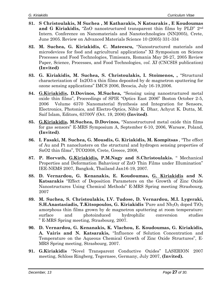- **81. S Christoulakis, M Suchea , M Katharakis, N Katsarakis , E Koudoumas and G Kiriakidis,** "ZnO nanostructured transparent thin films by PLD" 2nd Intern. Conference on Nanomaterials and Nanotechnologies (NN2005), Crete, June 2005. Review on Advanced Materials Science 10 (2005) 331-334
- **82. M. Suchea, G. Kiriakidis, C. Mateescu,** "Nanostructured materials and microdevices for food and agricultural applications" XI Symposium on Science Processes and Food Technologies, Timisoara, Romania May 26-27, 2005 Review Paper, Science, Processes, and Food Technologies*, vol. XI* (CNCSIS publication) **(Invited)**
- **83. G. Kiriakidis, M. Suchea, S. Christoulakis, I. Stoimenos, ,** "Structural characterization of In2O3-x thin films deposited by dc magnetron sputtering for ozone sensing applications" IMCS 2006, Brescia, July 16-19,2006.
- **84. G.Kiriakidis, D.Dovinos, M.Suchea,** "Sensing using nanostructured metal oxide thin films", Proceedings of SPIE "Optics East 2006" Boston October 2-5, 2006 Volume 6370 Nanomaterial Synthesis and Integration for Sensors, Electronics, Photonics, and Electro-Optics, Nibir K. Dhar, Achyut K. Dutta, M. Saif Islam, Editors, 63700V (Oct. 19, 2006) **(Invited)**.
- **85. G.Kiriakidis, M.Suchea, D.Dovinos,** "Nanostructured metal oxide thin films for gas sensors" E-MRS Symposium A, September 6-10, 2006, Warsaw, Poland, **(Invited)**.
- **86. I. Fasaki, M. Suchea, G. Mousdis, G. Kiriakidis, M. Kompitsas** , "The effect of Au and Pt nanoclusters on the structural and hydrogen sensing properties of SnO2 thin films", TCO2008, Crete, Greece, 2008,
- **87. P. Horvath, G.Kiriakidis, P.M.Nagy and S.Christoulakis.** " Mechanical Properties and Deformation Bahaviour of ZnO Thin Films under Illumination" IEE-NEMS 2007, Bangkok, Thailand Jan16-19, 2007.
- **88. D. Vernardou, G. Kenanakis, E. Koudoumas, G. Kiriakidis and N. Katsarakis** "Effect of Deposition Parameters on the Growth of Zinc Oxide Nanostructures Using Chemical Methods" E-MRS Spring meeting Strasbourg, 2007
- **89. M. Suchea, S. Christoulakis, I.V. Tudose, D. Vernardou, M.I. Lygeraki, S.H.Anastasiadis, T.Kitsopoulos, G. Kiriakidis** "Pure and Nb<sub>2</sub>O<sub>5</sub> doped TiO<sub>2</sub> amorphous thin films grown by dc magnetron sputtering at room temperature: surface and photoinduced hydrophilic conversion studies " E-MRS Spring meeting, Strasbourg, 2007.
- **90. D. Vernardou, G. Kenanakis, K. Vlachou, E. Koudoumas, G. Kiriakidis, A. Vairis and N. Katsarakis,** "Influence of Solution Concentration and Temperature on the Aqueous Chemical Growth of Zinc Oxide Structures", E-MRS Spring meeting, Strasbourg, 2007.
- **91. G.Kiriakidis** "Novel Transparent Conductive Oxides" LASERION 2007 meeting, Schloss Ringberg, Tegernsee, Germany, July 2007, **(Invited).**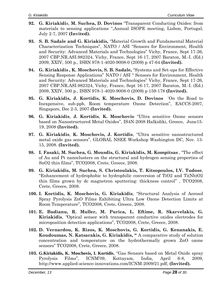- **92. G. Kiriakidi**s, **M. Suchea, D. Dovinos** "Transparent Conducting Oxides: from materials to sensing applications ",Annual ISOPE meeting, Lisbon, Portugal, July 2-7, 2007 **(Invited).**
- **93. S. B. Sadale and G. Kiriakidis,** "Material Growth and Fundamental Material Characterization Techniques", NATO / ASI "Sensors for Environment, Health and Security: Advanced Materials and Technologies" Vichy, France, Sept 17-26, 2007 CBP.NR.ASI.982324, Vichy, France, Sept 16-17, 2007 Baraton, M.-I. (Ed.) 2009, XXIV, 500 p., ISBN 978-1-4020-9008-0 (2009) p 47-64 **(Invited).**
- **94. G. Kiriakidis , K. Moschovis, S. B. Sadale,** "Systems and Set-ups for Effective Sensing Response Applications" NATO / ASI " Sensors for Environment, Health and Security: Advanced Materials and Technologies" Vichy, France, Sept 17-26, 2007 CBP.NR.ASI.982324, Vichy, France, Sept 16-17, 2007 Baraton, M.-I. (Ed.) 2009, XXIV, 500 p., ISBN 978-1-4020-9008-0 (2009) p 159-178 **(Invited).**
- **95. G. Kiriakidis, J. Kortidis, K. Moschovis, D. Dovinos** "On the Road to Inexpensive, sub-ppb, Room temperature Ozone Detection", EACCS-2007, Singapore, Dec 2-5, 2007 **(Invited).**
- **96. G. Kiriakidis**, **J. Kortidis**, **K. Moschovis**, "Ultra sensitive Ozone sensors based on Nanostructured Metal Oxides", IS4N-2008 Halkidiki, Greece, June15- 19, 2008 **(Invited).**
- **97. G. Kiriakidis**, **K. Moschovis, J. Kortidis**, "Ultra sensitive nanostructured metal oxide gas sensors", GLOBAL NSEE Workshop Washington DC, Nov. 13- 15, 2008. **(Invited).**
- **98. I. Fasaki, M. Suchea, G. Mousdis, G. Kiriakidis, M. Kompitsas** , "The effect of Au and Pt nanoclusters on the structural and hydrogen sensing properties of SnO2 thin films", TCO2008, Crete, Greece, 2008.
- **99. G. Kiriakidis, M. Suchea, S. Christoulakis, T. Kitsopoulos, I.V. Tudose**, "Enhancement of hydrophobic to hydrophilic conversion of TiO2 and Ti(Nb)O2 thin films grown by dc magnetron sputtering: thickness control" , TCO2008, Crete, Greece, 2008.
- **100. I. Kortidis, K. Moschovis, G. Kiriakidis**, "Structural Analysis of Aerosol Spray Pyrolysis ZnO Films Exhibiting Ultra Low Ozone Detection Limits at Room Temperature", TCO2008, Crete, Greece, 2008.
- **101. E. Budianu, R. Muller, M. Purica, L. Eftime, R. Skarvelakis, G. Kiriakidis**, *"*Optical sensor with transparent conductive oxides electrodes for microposition detection applications", TCO2008, Crete, Greece, 2008.
- **102. D. Vernardou, K. Rizos, K. Moschovis, G. Kortidis, G. Kenanakis, E. Koudoumas, N. Katsarakis, G. Kiriakidis, "** A comparative study of solution concentration and temperature on the hydrothermally grown ZnO ozone sensors" TCO2008, Crete, Greece, 2008.
- **103. G.Kiriakidis, K. Moschovis, I. Kortidis**, "Gas Sensors based on Metal Oxide spray Pyrolysis Films", ICNM'09, Kottayam, India, April 6-8, 2009, http://www.applied-science-innovations.com/ICNM-2009/21.pdf, **(Invited).**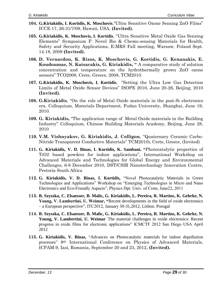- **104. G.Kiriakidis, I. Kortidis, K. Moschovis**,"Ultra Sensitive Ozone Sensing ZnO Films" ICCE-17, 26-31/7/09, Hawaii, USA, **(Invited).**
- **105. G.Kiriakidis, K. Moschovis, I. Kortidis**, "Ultra Sensitive Metal Oxide Gas Sensing Elements" Symposium F: Novel Bio & Chemo-sensing Materials for Health, Safety and Security Applications, E-MRS Fall meeting, Warsaw, Poland Sept. 14-18, 2009 **(Invited).**
- **106. D. Vernardou, K. Rizos, K. Moschovis, G. Kortidis, G. Kenanakis, E. Koudoumas, N. Katsarakis, G. Kiriakidis, "** A comparative study of solution concentration and temperature on the hydrothermally grown ZnO ozone sensors" TCO2008, Crete, Greece, 2008, TCM2010.
- **107. G.Kiriakidis, K. Moschovis, I. Kortidis**, "Setting the Ultra Low Gas Detection Limits of Metal Oxide Sensor Devices" ISOPE 2010, June 20-26, Beijing, 2010 **(Invited).**
- **108. G.Kiriakidis**, "On the role of Metal Oxide materials in the post-Si electronics era. Colloquium, Materials Department, Fudan University, Shanghai, June 19, 2010.
- **109. G. Kiriakidis,** "The application range of Metal Oxide materials in the Building Industry" Colloquium, Chinese Building Materials Academy, Beijing, June 28, 2010
- **110. V.M. Vishnyakov, G. Kiriakidis, J. Colligon**, "Quaternary Ceramic Carbo-Nitride Transparent Conductive Materials" TCM2010), Crete, Greece, (Invited)
- **111. G. Kiriakidis, V. D. Binas, I. Kortidis, K. Sambani, "**Photocatalytic properties of TiO2 based powders for indoor applications", International Workshop on Advanced Materials and Technologies for Global Energy and Environmental Challenges, 6-8 December 2010, DST/CSIR Nanotechnology Innovation Centre, Pretoria South Africa
- **112. G. Kiriakidis, V. D. Binas, I. Kortidis,** "Novel Photocatalytic Materials in Green Technologies and Applications" Workshop on "Emerging Technologies in Micro and Nano Electronics and Eco-Friendly Aspects", Physics Dpt. Univ. of Crete, June22, 2011
- **113. B. Szyszka, C. Elsaesser, B. Malic, G. Kiriakidis, L. Pereira, R. Martins, K. Gehrke, N. Young, V. Lambertini, U. Weimar, "**Recent developments in the field of oxide electronics – a European perspective", ITC2012, January 30-31,2012, Lisbon. Porugal
- **114. B. Szyszka, C. Elsaesser, B. Malic, G. Kiriakidis, L. Pereira, R. Martins, K. Gehrke, N. Young, V. Lambertini, U. Weimar** "The material challenges in oxide electronics: Recent progress in oxide films for electronic applications" ICMCTF 2012 San Diego USA April 2012
- **115. G. Kiriakidis, V. Binas,** "Advances on Photocatalytic materials for indoor depollution processes" 9th International Conference on Physics of Advanced Materials, ICPAM-9, Iasi, Romania, September 20 and 23, 2012, **(Invited).**